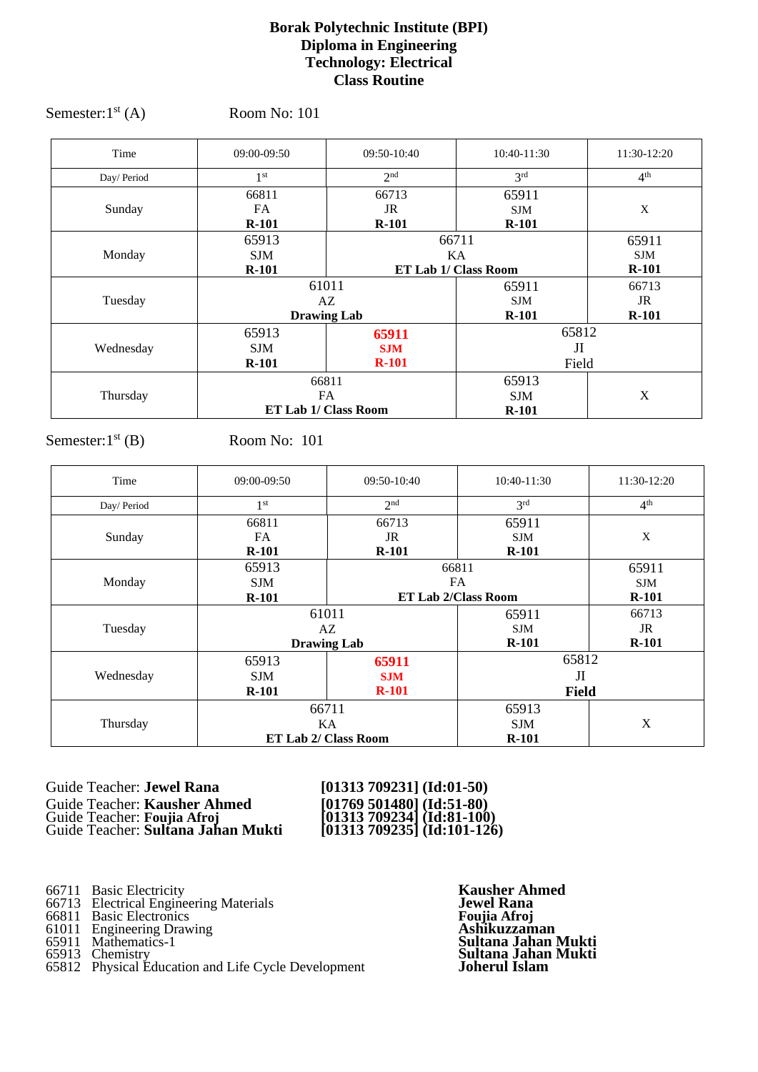### **Borak Polytechnic Institute (BPI) Diploma in Engineering Technology: Electrical Class Routine**

| Time       | 09:00-09:50          | 09:50-10:40          | 10:40-11:30     | 11:30-12:20     |
|------------|----------------------|----------------------|-----------------|-----------------|
| Day/Period | 1 <sup>st</sup>      | 2 <sup>nd</sup>      | 3 <sup>rd</sup> | 4 <sup>th</sup> |
|            | 66811                | 66713                | 65911           |                 |
| Sunday     | FA.                  | JR                   | <b>SJM</b>      | X               |
|            | $R-101$              | $R-101$              | $R-101$         |                 |
|            | 66711<br>65913       |                      | 65911           |                 |
| Monday     | <b>SJM</b>           | KA                   |                 | <b>SJM</b>      |
|            | $R-101$              | ET Lab 1/ Class Room |                 | $R-101$         |
|            |                      | 61011                | 65911           | 66713           |
| Tuesday    |                      | AZ<br><b>SJM</b>     |                 | JR              |
|            |                      | <b>Drawing Lab</b>   | $R-101$         | $R-101$         |
|            | 65913                | 65911                | 65812           |                 |
| Wednesday  | <b>SJM</b>           | <b>SJM</b>           | JI              |                 |
|            | $R-101$              | $R-101$              | Field           |                 |
|            | 66811                |                      | 65913           |                 |
| Thursday   | <b>FA</b>            |                      | <b>SJM</b>      | X               |
|            | ET Lab 1/ Class Room |                      | $R-101$         |                 |

Semester: $1<sup>st</sup> (A)$  Room No: 101

Semester: $1<sup>st</sup>$  (B) Room No: 101

| Time       | 09:00-09:50          | 09:50-10:40                        | 10:40-11:30                | 11:30-12:20     |
|------------|----------------------|------------------------------------|----------------------------|-----------------|
| Day/Period | 1 <sup>st</sup>      | 2 <sub>nd</sub>                    | 3 <sup>rd</sup>            | 4 <sup>th</sup> |
|            | 66811                | 66713                              | 65911                      |                 |
| Sunday     | FA                   | JR                                 | <b>SJM</b>                 | X               |
|            | $R-101$              | $R-101$                            | $R-101$                    |                 |
|            | 65913                |                                    | 66811                      | 65911           |
| Monday     | <b>SJM</b>           |                                    | <b>FA</b>                  | <b>SJM</b>      |
|            | $R-101$              |                                    | <b>ET Lab 2/Class Room</b> |                 |
|            |                      | 61011<br>65911<br>AZ<br><b>SJM</b> |                            | 66713           |
| Tuesday    |                      |                                    |                            | JR              |
|            |                      | <b>Drawing Lab</b>                 | $R-101$                    | $R-101$         |
|            | 65913                | 65911                              | 65812                      |                 |
| Wednesday  | <b>SJM</b>           | <b>SJM</b>                         | JI                         |                 |
|            | $R-101$              | $R-101$                            | <b>Field</b>               |                 |
|            | 66711                |                                    | 65913                      |                 |
| Thursday   | KA                   |                                    | <b>SJM</b>                 | X               |
|            | ET Lab 2/ Class Room |                                    | $R-101$                    |                 |

Guide Teacher: **Jewel Rana** [01313 709231] (Id:01-50)<br>
Guide Teacher: **Kausher Ahmed** [01769 501480] (Id:51-80)<br>
Guide Teacher: **Sultana Jahan Mukti** [01313 709234] (Id:81-100)<br>
Guide Teacher: **Sultana Jahan Mukti** [01313 Guide Teacher: **Kausher Ahmed [01769 501480] (Id:51-80)** Guide Teacher: **Foujia Afroj [01313 709234] (Id:81-100)**

Guide Teacher: **Sultana Jahan Mukti [01313 709235] (Id:101-126)**

66711 Basic Electricity **Kausher Ahmed**

66713 Electrical Engineering Materials **Jewel Rana**

66811 Basic Electronics **Foujia Afroj**

61011 Engineering Drawing **Ashikuzzaman**

65812 Physical Education and Life Cycle Development

65911 Mathematics-1 **Sultana Jahan Mukti** Figure 1.1 Engineering Drawing<br>
65911 Mathematics-1<br>
65913 Chemistry<br>
65812 Physical Education and Life Cycle Development<br> **Sultana Jahan Mukti**<br>
65812 Physical Education and Life Cycle Development<br> **Sultana Jahan Mukti**<br>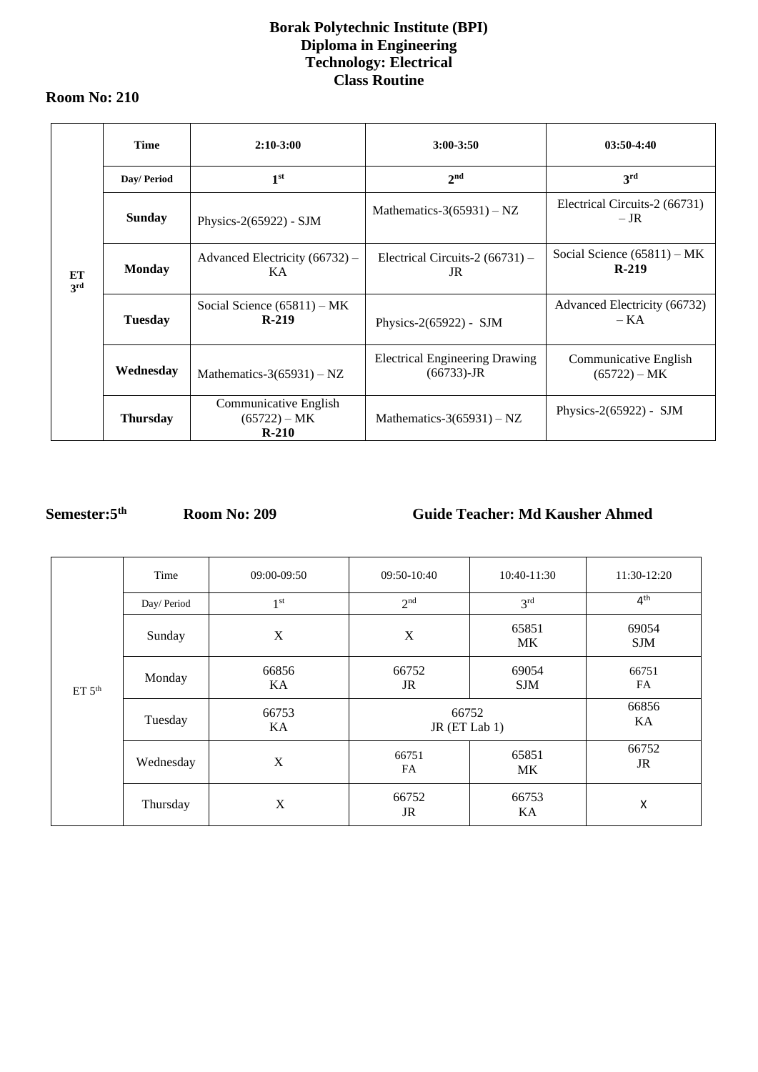## **Borak Polytechnic Institute (BPI) Diploma in Engineering Technology: Electrical Class Routine**

### **Room No: 210**

|           | <b>Time</b>     | $2:10-3:00$                                        | $3:00 - 3:50$                                          | $03:50-4:40$                             |
|-----------|-----------------|----------------------------------------------------|--------------------------------------------------------|------------------------------------------|
|           | Day/ Period     | 1 <sup>st</sup>                                    | 2 <sub>nd</sub>                                        | 3 <sup>rd</sup>                          |
|           | <b>Sunday</b>   | Physics- $2(65922)$ - SJM                          | Mathematics-3(65931) – NZ                              | Electrical Circuits-2 (66731)<br>$-$ JR  |
| ET<br>3rd | <b>Monday</b>   | Advanced Electricity $(66732)$ –<br>KA.            | Electrical Circuits-2 $(66731)$ –<br>JR                | Social Science $(65811) - MK$<br>$R-219$ |
|           | <b>Tuesday</b>  | Social Science $(65811)$ – MK<br>$R-219$           | Physics- $2(65922)$ - SJM                              | Advanced Electricity (66732)<br>$-KA$    |
|           | Wednesday       | Mathematics-3(65931) – NZ                          | <b>Electrical Engineering Drawing</b><br>$(66733)$ -JR | Communicative English<br>$(65722) - MK$  |
|           | <b>Thursday</b> | Communicative English<br>$(65722) - MK$<br>$R-210$ | Mathematics- $3(65931) - NZ$                           | Physics-2(65922) - SJM                   |

# **Semester:5**

**th Room No: 209 Guide Teacher: Md Kausher Ahmed**

|                    | Time        | 09:00-09:50     | 09:50-10:40               | 10:40-11:30         | 11:30-12:20         |
|--------------------|-------------|-----------------|---------------------------|---------------------|---------------------|
|                    | Day/ Period | 1 <sup>st</sup> | 2 <sup>nd</sup>           | 3 <sup>rd</sup>     | 4 <sup>th</sup>     |
|                    | Sunday      | X               | $\boldsymbol{\mathrm{X}}$ | 65851<br>MK         | 69054<br><b>SJM</b> |
| ET 5 <sup>th</sup> | Monday      | 66856<br>KA     | 66752<br>JR               | 69054<br><b>SJM</b> | 66751<br>FA         |
|                    | Tuesday     | 66753<br>KA     | 66752<br>JR (ET Lab 1)    |                     | 66856<br>KA         |
|                    | Wednesday   | $\mathbf X$     | 66751<br><b>FA</b>        | 65851<br>MK         | 66752<br>JR         |
|                    | Thursday    | X               | 66752<br>JR               | 66753<br>KA         | X                   |